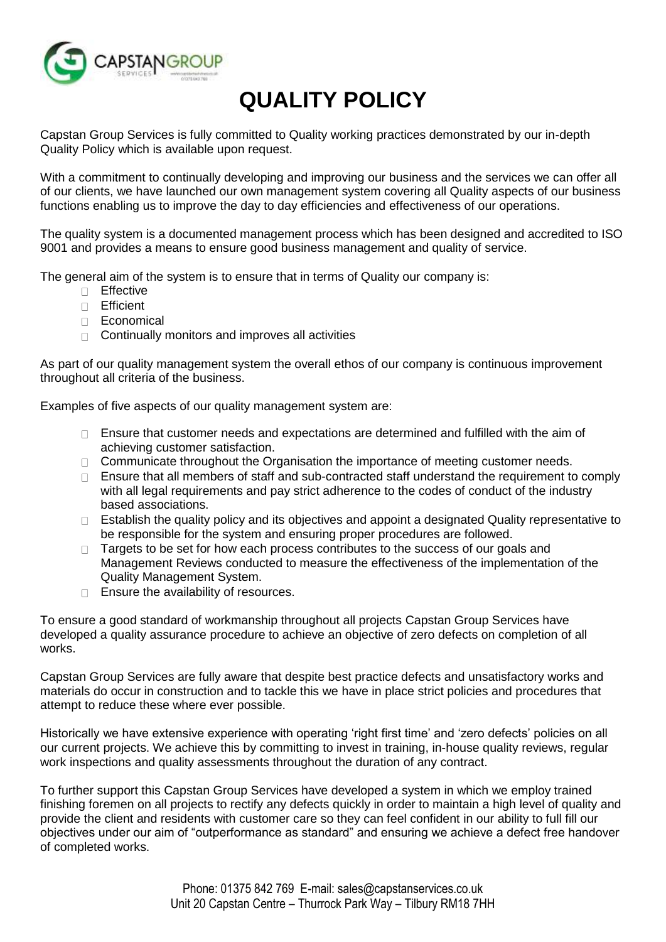

## **QUALITY POLICY**

Capstan Group Services is fully committed to Quality working practices demonstrated by our in-depth Quality Policy which is available upon request.

With a commitment to continually developing and improving our business and the services we can offer all of our clients, we have launched our own management system covering all Quality aspects of our business functions enabling us to improve the day to day efficiencies and effectiveness of our operations.

The quality system is a documented management process which has been designed and accredited to ISO 9001 and provides a means to ensure good business management and quality of service.

The general aim of the system is to ensure that in terms of Quality our company is:

- Effective
- Efficient
- D Economical
- $\Box$  Continually monitors and improves all activities

As part of our quality management system the overall ethos of our company is continuous improvement throughout all criteria of the business.

Examples of five aspects of our quality management system are:

- $\Box$  Ensure that customer needs and expectations are determined and fulfilled with the aim of achieving customer satisfaction.
- $\Box$  Communicate throughout the Organisation the importance of meeting customer needs.
- $\Box$  Ensure that all members of staff and sub-contracted staff understand the requirement to comply with all legal requirements and pay strict adherence to the codes of conduct of the industry based associations.
- □ Establish the quality policy and its objectives and appoint a designated Quality representative to be responsible for the system and ensuring proper procedures are followed.
- $\Box$  Targets to be set for how each process contributes to the success of our goals and Management Reviews conducted to measure the effectiveness of the implementation of the Quality Management System.
- $\Box$  Ensure the availability of resources.

To ensure a good standard of workmanship throughout all projects Capstan Group Services have developed a quality assurance procedure to achieve an objective of zero defects on completion of all works.

Capstan Group Services are fully aware that despite best practice defects and unsatisfactory works and materials do occur in construction and to tackle this we have in place strict policies and procedures that attempt to reduce these where ever possible.

Historically we have extensive experience with operating 'right first time' and 'zero defects' policies on all our current projects. We achieve this by committing to invest in training, in-house quality reviews, regular work inspections and quality assessments throughout the duration of any contract.

To further support this Capstan Group Services have developed a system in which we employ trained finishing foremen on all projects to rectify any defects quickly in order to maintain a high level of quality and provide the client and residents with customer care so they can feel confident in our ability to full fill our objectives under our aim of "outperformance as standard" and ensuring we achieve a defect free handover of completed works.